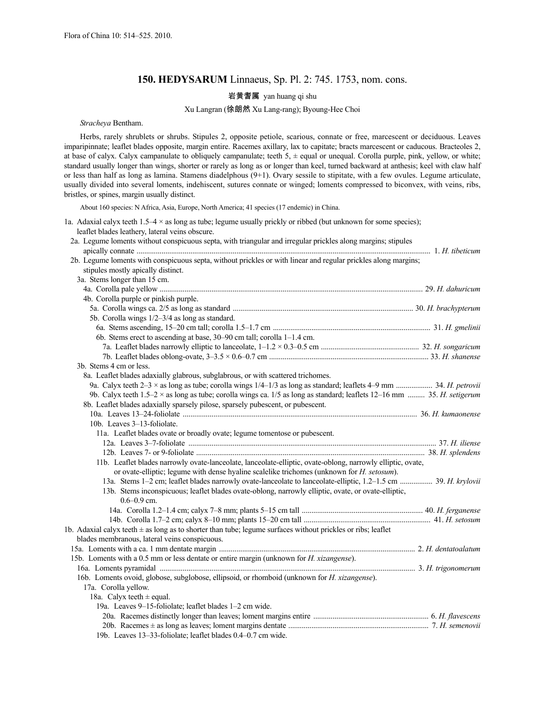# **150. HEDYSARUM** Linnaeus, Sp. Pl. 2: 745. 1753, nom. cons.

## 岩黄耆属 yan huang qi shu

### Xu Langran (徐朗然 Xu Lang-rang); Byoung-Hee Choi

*Stracheya* Bentham.

Herbs, rarely shrublets or shrubs. Stipules 2, opposite petiole, scarious, connate or free, marcescent or deciduous. Leaves imparipinnate; leaflet blades opposite, margin entire. Racemes axillary, lax to capitate; bracts marcescent or caducous. Bracteoles 2, at base of calyx. Calyx campanulate to obliquely campanulate; teeth  $5, \pm$  equal or unequal. Corolla purple, pink, yellow, or white; standard usually longer than wings, shorter or rarely as long as or longer than keel, turned backward at anthesis; keel with claw half or less than half as long as lamina. Stamens diadelphous (9+1). Ovary sessile to stipitate, with a few ovules. Legume articulate, usually divided into several loments, indehiscent, sutures connate or winged; loments compressed to biconvex, with veins, ribs, bristles, or spines, margin usually distinct.

About 160 species: N Africa, Asia, Europe, North America; 41 species (17 endemic) in China.

1a. Adaxial calyx teeth 1.5–4  $\times$  as long as tube; legume usually prickly or ribbed (but unknown for some species); leaflet blades leathery, lateral veins obscure.

| 2a. Legume loments without conspicuous septa, with triangular and irregular prickles along margins; stipules                     |  |
|----------------------------------------------------------------------------------------------------------------------------------|--|
|                                                                                                                                  |  |
| 2b. Legume loments with conspicuous septa, without prickles or with linear and regular prickles along margins;                   |  |
| stipules mostly apically distinct.                                                                                               |  |
| 3a. Stems longer than 15 cm.                                                                                                     |  |
|                                                                                                                                  |  |
| 4b. Corolla purple or pinkish purple.                                                                                            |  |
|                                                                                                                                  |  |
| 5b. Corolla wings 1/2-3/4 as long as standard.                                                                                   |  |
|                                                                                                                                  |  |
| 6b. Stems erect to ascending at base, 30–90 cm tall; corolla 1–1.4 cm.                                                           |  |
|                                                                                                                                  |  |
|                                                                                                                                  |  |
| 3b. Stems 4 cm or less.                                                                                                          |  |
| 8a. Leaflet blades adaxially glabrous, subglabrous, or with scattered trichomes.                                                 |  |
|                                                                                                                                  |  |
| 9b. Calyx teeth $1.5-2 \times$ as long as tube; corolla wings ca. 1/5 as long as standard; leaflets $12-16$ mm  35. H. setigerum |  |
| 8b. Leaflet blades adaxially sparsely pilose, sparsely pubescent, or pubescent.                                                  |  |
|                                                                                                                                  |  |
| 10b. Leaves 3-13-foliolate.                                                                                                      |  |
| 11a. Leaflet blades ovate or broadly ovate; legume tomentose or pubescent.                                                       |  |
|                                                                                                                                  |  |
|                                                                                                                                  |  |
| 11b. Leaflet blades narrowly ovate-lanceolate, lanceolate-elliptic, ovate-oblong, narrowly elliptic, ovate,                      |  |
| or ovate-elliptic; legume with dense hyaline scalelike trichomes (unknown for <i>H. setosum</i> ).                               |  |
| 13a. Stems 1-2 cm; leaflet blades narrowly ovate-lanceolate to lanceolate-elliptic, 1.2-1.5 cm  39. H. krylovii                  |  |
| 13b. Stems inconspicuous; leaflet blades ovate-oblong, narrowly elliptic, ovate, or ovate-elliptic,                              |  |
| $0.6 - 0.9$ cm.                                                                                                                  |  |
|                                                                                                                                  |  |
|                                                                                                                                  |  |
| 1b. Adaxial calyx teeth $\pm$ as long as to shorter than tube; legume surfaces without prickles or ribs; leaflet                 |  |
| blades membranous, lateral veins conspicuous.                                                                                    |  |
|                                                                                                                                  |  |
| 15b. Loments with a 0.5 mm or less dentate or entire margin (unknown for <i>H. xizangense</i> ).                                 |  |
|                                                                                                                                  |  |
| 16b. Loments ovoid, globose, subglobose, ellipsoid, or rhomboid (unknown for H. xizangense).                                     |  |
| 17a. Corolla yellow.                                                                                                             |  |
| 18a. Calyx teeth $\pm$ equal.                                                                                                    |  |
| 19a. Leaves 9-15-foliolate; leaflet blades 1-2 cm wide.                                                                          |  |
|                                                                                                                                  |  |
|                                                                                                                                  |  |
| 19b. Leaves 13-33-foliolate; leaflet blades 0.4-0.7 cm wide.                                                                     |  |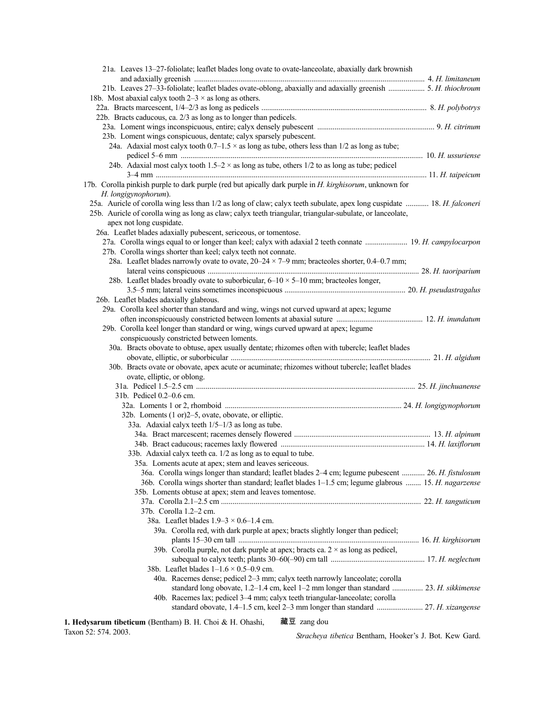| 21a. Leaves 13–27-foliolate; leaflet blades long ovate to ovate-lanceolate, abaxially dark brownish                     |  |
|-------------------------------------------------------------------------------------------------------------------------|--|
|                                                                                                                         |  |
| 21b. Leaves 27-33-foliolate; leaflet blades ovate-oblong, abaxially and adaxially greenish  5. H. thiochroum            |  |
| 18b. Most abaxial calyx tooth $2-3 \times$ as long as others.                                                           |  |
|                                                                                                                         |  |
| 22b. Bracts caducous, ca. 2/3 as long as to longer than pedicels.                                                       |  |
|                                                                                                                         |  |
| 23b. Loment wings conspicuous, dentate; calyx sparsely pubescent.                                                       |  |
| 24a. Adaxial most calyx tooth $0.7-1.5 \times$ as long as tube, others less than $1/2$ as long as tube;                 |  |
|                                                                                                                         |  |
| 24b. Adaxial most calyx tooth $1.5-2 \times$ as long as tube, others $1/2$ to as long as tube; pedicel                  |  |
|                                                                                                                         |  |
| 17b. Corolla pinkish purple to dark purple (red but apically dark purple in <i>H. kirghisorum</i> , unknown for         |  |
| H. longigynophorum).                                                                                                    |  |
| 25a. Auricle of corolla wing less than 1/2 as long of claw; calyx teeth subulate, apex long cuspidate  18. H. falconeri |  |
| 25b. Auricle of corolla wing as long as claw; calyx teeth triangular, triangular-subulate, or lanceolate,               |  |
| apex not long cuspidate.                                                                                                |  |
| 26a. Leaflet blades adaxially pubescent, sericeous, or tomentose.                                                       |  |
| 27a. Corolla wings equal to or longer than keel; calyx with adaxial 2 teeth connate  19. H. campylocarpon               |  |
| 27b. Corolla wings shorter than keel; calyx teeth not connate.                                                          |  |
| 28a. Leaflet blades narrowly ovate to ovate, $20-24 \times 7-9$ mm; bracteoles shorter, 0.4–0.7 mm;                     |  |
|                                                                                                                         |  |
| 28b. Leaflet blades broadly ovate to suborbicular, $6-10 \times 5-10$ mm; bracteoles longer,                            |  |
|                                                                                                                         |  |
|                                                                                                                         |  |
| 26b. Leaflet blades adaxially glabrous.                                                                                 |  |
| 29a. Corolla keel shorter than standard and wing, wings not curved upward at apex; legume                               |  |
|                                                                                                                         |  |
| 29b. Corolla keel longer than standard or wing, wings curved upward at apex; legume                                     |  |
| conspicuously constricted between loments.                                                                              |  |
| 30a. Bracts obovate to obtuse, apex usually dentate; rhizomes often with tubercle; leaflet blades                       |  |
|                                                                                                                         |  |
| 30b. Bracts ovate or obovate, apex acute or acuminate; rhizomes without tubercle; leaflet blades                        |  |
| ovate, elliptic, or oblong.                                                                                             |  |
|                                                                                                                         |  |
| 31b. Pedicel 0.2–0.6 cm.                                                                                                |  |
|                                                                                                                         |  |
| 32b. Loments (1 or)2–5, ovate, obovate, or elliptic.                                                                    |  |
| 33a. Adaxial calyx teeth 1/5-1/3 as long as tube.                                                                       |  |
|                                                                                                                         |  |
|                                                                                                                         |  |
| 33b. Adaxial calyx teeth ca. 1/2 as long as to equal to tube.                                                           |  |
| 35a. Loments acute at apex; stem and leaves sericeous.                                                                  |  |
| 36a. Corolla wings longer than standard; leaflet blades 2-4 cm; legume pubescent  26. H. fistulosum                     |  |
| 36b. Corolla wings shorter than standard; leaflet blades 1-1.5 cm; legume glabrous  15. H. nagarzense                   |  |
| 35b. Loments obtuse at apex; stem and leaves tomentose.                                                                 |  |
|                                                                                                                         |  |
| 37b. Corolla 1.2-2 cm.                                                                                                  |  |
| 38a. Leaflet blades $1.9-3 \times 0.6-1.4$ cm.                                                                          |  |
| 39a. Corolla red, with dark purple at apex; bracts slightly longer than pedicel;                                        |  |
|                                                                                                                         |  |
| 39b. Corolla purple, not dark purple at apex; bracts ca. $2 \times$ as long as pedicel,                                 |  |
|                                                                                                                         |  |
| 38b. Leaflet blades $1-1.6 \times 0.5-0.9$ cm.                                                                          |  |
| 40a. Racemes dense; pedicel 2-3 mm; calyx teeth narrowly lanceolate; corolla                                            |  |
| standard long obovate, 1.2-1.4 cm, keel 1-2 mm longer than standard  23. H. sikkimense                                  |  |
| 40b. Racemes lax; pedicel 3-4 mm; calyx teeth triangular-lanceolate; corolla                                            |  |
|                                                                                                                         |  |
|                                                                                                                         |  |
| 藏豆 zang dou<br>1. Hedysarum tibeticum (Bentham) B. H. Choi & H. Ohashi,                                                 |  |

Taxon 52: 574. 2003.

*Stracheya tibetica* Bentham, Hooker's J. Bot. Kew Gard.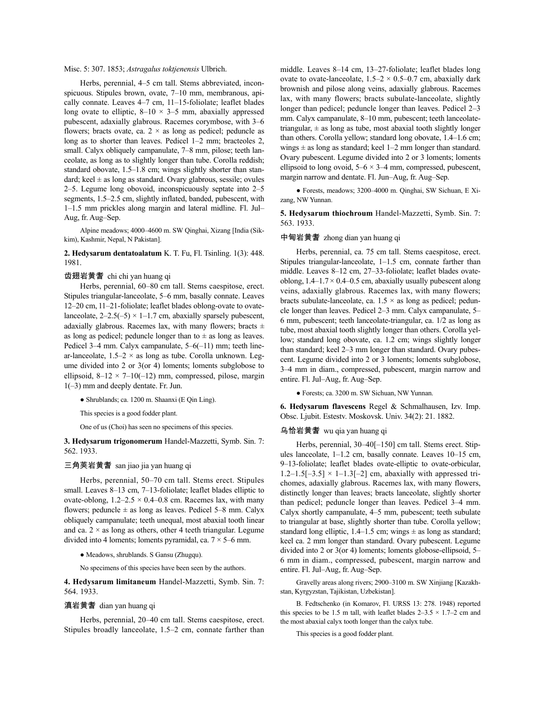Misc. 5: 307. 1853; *Astragalus toktjenensis* Ulbrich.

Herbs, perennial, 4–5 cm tall. Stems abbreviated, inconspicuous. Stipules brown, ovate, 7–10 mm, membranous, apically connate. Leaves 4–7 cm, 11–15-foliolate; leaflet blades long ovate to elliptic,  $8-10 \times 3-5$  mm, abaxially appressed pubescent, adaxially glabrous. Racemes corymbose, with 3–6 flowers; bracts ovate, ca.  $2 \times$  as long as pedicel; peduncle as long as to shorter than leaves. Pedicel 1–2 mm; bracteoles 2, small. Calyx obliquely campanulate, 7–8 mm, pilose; teeth lanceolate, as long as to slightly longer than tube. Corolla reddish; standard obovate, 1.5–1.8 cm; wings slightly shorter than standard; keel  $\pm$  as long as standard. Ovary glabrous, sessile; ovules 2–5. Legume long obovoid, inconspicuously septate into 2–5 segments, 1.5–2.5 cm, slightly inflated, banded, pubescent, with 1–1.5 mm prickles along margin and lateral midline. Fl. Jul– Aug, fr. Aug–Sep.

Alpine meadows; 4000–4600 m. SW Qinghai, Xizang [India (Sikkim), Kashmir, Nepal, N Pakistan].

**2. Hedysarum dentatoalatum** K. T. Fu, Fl. Tsinling. 1(3): 448. 1981.

### 齿翅岩黄耆 chi chi yan huang qi

Herbs, perennial, 60–80 cm tall. Stems caespitose, erect. Stipules triangular-lanceolate, 5–6 mm, basally connate. Leaves 12–20 cm, 11–21-foliolate; leaflet blades oblong-ovate to ovatelanceolate,  $2-2.5(-5) \times 1-1.7$  cm, abaxially sparsely pubescent, adaxially glabrous. Racemes lax, with many flowers; bracts  $\pm$ as long as pedicel; peduncle longer than to  $\pm$  as long as leaves. Pedicel 3–4 mm. Calyx campanulate, 5–6(–11) mm; teeth linear-lanceolate,  $1.5-2 \times$  as long as tube. Corolla unknown. Legume divided into 2 or 3(or 4) loments; loments subglobose to ellipsoid,  $8-12 \times 7-10(-12)$  mm, compressed, pilose, margin 1(–3) mm and deeply dentate. Fr. Jun.

● Shrublands; ca. 1200 m. Shaanxi (E Qin Ling).

This species is a good fodder plant.

One of us (Choi) has seen no specimens of this species.

**3. Hedysarum trigonomerum** Handel-Mazzetti, Symb. Sin. 7: 562. 1933.

### 三角荚岩黄耆 san jiao jia yan huang qi

Herbs, perennial, 50–70 cm tall. Stems erect. Stipules small. Leaves 8–13 cm, 7–13-foliolate; leaflet blades elliptic to ovate-oblong,  $1.2-2.5 \times 0.4-0.8$  cm. Racemes lax, with many flowers; peduncle  $\pm$  as long as leaves. Pedicel 5–8 mm. Calyx obliquely campanulate; teeth unequal, most abaxial tooth linear and ca.  $2 \times$  as long as others, other 4 teeth triangular. Legume divided into 4 loments; loments pyramidal, ca.  $7 \times 5-6$  mm.

● Meadows, shrublands. S Gansu (Zhugqu).

No specimens of this species have been seen by the authors.

**4. Hedysarum limitaneum** Handel-Mazzetti, Symb. Sin. 7: 564. 1933.

## 滇岩黄耆 dian yan huang qi

Herbs, perennial, 20–40 cm tall. Stems caespitose, erect. Stipules broadly lanceolate, 1.5–2 cm, connate farther than middle. Leaves 8–14 cm, 13–27-foliolate; leaflet blades long ovate to ovate-lanceolate,  $1.5-2 \times 0.5-0.7$  cm, abaxially dark brownish and pilose along veins, adaxially glabrous. Racemes lax, with many flowers; bracts subulate-lanceolate, slightly longer than pedicel; peduncle longer than leaves. Pedicel 2–3 mm. Calyx campanulate, 8–10 mm, pubescent; teeth lanceolatetriangular,  $\pm$  as long as tube, most abaxial tooth slightly longer than others. Corolla yellow; standard long obovate, 1.4–1.6 cm; wings  $\pm$  as long as standard; keel 1–2 mm longer than standard. Ovary pubescent. Legume divided into 2 or 3 loments; loments ellipsoid to long ovoid,  $5-6 \times 3-4$  mm, compressed, pubescent, margin narrow and dentate. Fl. Jun–Aug, fr. Aug–Sep.

● Forests, meadows; 3200–4000 m. Qinghai, SW Sichuan, E Xizang, NW Yunnan.

**5. Hedysarum thiochroum** Handel-Mazzetti, Symb. Sin. 7: 563. 1933.

### 中甸岩黄耆 zhong dian yan huang qi

Herbs, perennial, ca. 75 cm tall. Stems caespitose, erect. Stipules triangular-lanceolate, 1–1.5 cm, connate farther than middle. Leaves 8–12 cm, 27–33-foliolate; leaflet blades ovateoblong,  $1.4-1.7 \times 0.4-0.5$  cm, abaxially usually pubescent along veins, adaxially glabrous. Racemes lax, with many flowers; bracts subulate-lanceolate, ca.  $1.5 \times$  as long as pedicel; peduncle longer than leaves. Pedicel 2–3 mm. Calyx campanulate, 5– 6 mm, pubescent; teeth lanceolate-triangular, ca. 1/2 as long as tube, most abaxial tooth slightly longer than others. Corolla yellow; standard long obovate, ca. 1.2 cm; wings slightly longer than standard; keel 2–3 mm longer than standard. Ovary pubescent. Legume divided into 2 or 3 loments; loments subglobose, 3–4 mm in diam., compressed, pubescent, margin narrow and entire. Fl. Jul–Aug, fr. Aug–Sep.

● Forests; ca. 3200 m. SW Sichuan, NW Yunnan.

**6. Hedysarum flavescens** Regel & Schmalhausen, Izv. Imp. Obsc. Ljubit. Estestv. Moskovsk. Univ. 34(2): 21. 1882.

### 乌恰岩黄耆 wu qia yan huang qi

Herbs, perennial, 30–40[–150] cm tall. Stems erect. Stipules lanceolate, 1–1.2 cm, basally connate. Leaves 10–15 cm, 9–13-foliolate; leaflet blades ovate-elliptic to ovate-orbicular,  $1.2-1.5[-3.5] \times 1-1.3[-2]$  cm, abaxially with appressed trichomes, adaxially glabrous. Racemes lax, with many flowers, distinctly longer than leaves; bracts lanceolate, slightly shorter than pedicel; peduncle longer than leaves. Pedicel 3–4 mm. Calyx shortly campanulate, 4–5 mm, pubescent; teeth subulate to triangular at base, slightly shorter than tube. Corolla yellow; standard long elliptic, 1.4–1.5 cm; wings  $\pm$  as long as standard; keel ca. 2 mm longer than standard. Ovary pubescent. Legume divided into 2 or 3(or 4) loments; loments globose-ellipsoid, 5– 6 mm in diam., compressed, pubescent, margin narrow and entire. Fl. Jul–Aug, fr. Aug–Sep.

Gravelly areas along rivers; 2900–3100 m. SW Xinjiang [Kazakhstan, Kyrgyzstan, Tajikistan, Uzbekistan].

B. Fedtschenko (in Komarov, Fl. URSS 13: 278. 1948) reported this species to be 1.5 m tall, with leaflet blades  $2-3.5 \times 1.7-2$  cm and the most abaxial calyx tooth longer than the calyx tube.

This species is a good fodder plant.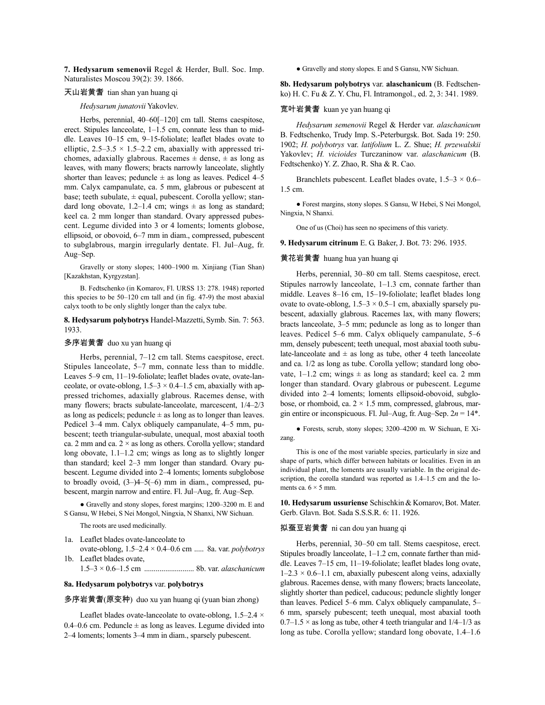**7. Hedysarum semenovii** Regel & Herder, Bull. Soc. Imp. Naturalistes Moscou 39(2): 39. 1866.

### 天山岩黄耆 tian shan yan huang qi

#### *Hedysarum junatovii* Yakovlev.

Herbs, perennial, 40–60[-120] cm tall. Stems caespitose, erect. Stipules lanceolate, 1–1.5 cm, connate less than to middle. Leaves 10–15 cm, 9–15-foliolate; leaflet blades ovate to elliptic,  $2.5-3.5 \times 1.5-2.2$  cm, abaxially with appressed trichomes, adaxially glabrous. Racemes  $\pm$  dense,  $\pm$  as long as leaves, with many flowers; bracts narrowly lanceolate, slightly shorter than leaves; peduncle  $\pm$  as long as leaves. Pedicel 4–5 mm. Calyx campanulate, ca. 5 mm, glabrous or pubescent at base; teeth subulate,  $\pm$  equal, pubescent. Corolla yellow; standard long obovate, 1.2–1.4 cm; wings  $\pm$  as long as standard; keel ca. 2 mm longer than standard. Ovary appressed pubescent. Legume divided into 3 or 4 loments; loments globose, ellipsoid, or obovoid, 6–7 mm in diam., compressed, pubescent to subglabrous, margin irregularly dentate. Fl. Jul–Aug, fr. Aug–Sep.

Gravelly or stony slopes; 1400–1900 m. Xinjiang (Tian Shan) [Kazakhstan, Kyrgyzstan].

B. Fedtschenko (in Komarov, Fl. URSS 13: 278. 1948) reported this species to be 50–120 cm tall and (in fig. 47-9) the most abaxial calyx tooth to be only slightly longer than the calyx tube.

### **8. Hedysarum polybotrys** Handel-Mazzetti, Symb. Sin. 7: 563. 1933.

### 多序岩黄耆 duo xu yan huang qi

Herbs, perennial, 7–12 cm tall. Stems caespitose, erect. Stipules lanceolate, 5–7 mm, connate less than to middle. Leaves 5–9 cm, 11–19-foliolate; leaflet blades ovate, ovate-lanceolate, or ovate-oblong,  $1.5-3 \times 0.4-1.5$  cm, abaxially with appressed trichomes, adaxially glabrous. Racemes dense, with many flowers; bracts subulate-lanceolate, marcescent, 1/4–2/3 as long as pedicels; peduncle  $\pm$  as long as to longer than leaves. Pedicel 3–4 mm. Calyx obliquely campanulate, 4–5 mm, pubescent; teeth triangular-subulate, unequal, most abaxial tooth ca. 2 mm and ca.  $2 \times$  as long as others. Corolla yellow; standard long obovate, 1.1–1.2 cm; wings as long as to slightly longer than standard; keel 2–3 mm longer than standard. Ovary pubescent. Legume divided into 2–4 loments; loments subglobose to broadly ovoid, (3–)4–5(–6) mm in diam., compressed, pubescent, margin narrow and entire. Fl. Jul–Aug, fr. Aug–Sep.

● Gravelly and stony slopes, forest margins; 1200–3200 m. E and S Gansu, W Hebei, S Nei Mongol, Ningxia, N Shanxi, NW Sichuan.

The roots are used medicinally.

1a. Leaflet blades ovate-lanceolate to

- ovate-oblong, 1.5–2.4 × 0.4–0.6 cm ..... 8a. var. *polybotrys* 1b. Leaflet blades ovate,
	- 1.5–3 × 0.6–1.5 cm .......................... 8b. var. *alaschanicum*

#### **8a. Hedysarum polybotrys** var. **polybotrys**

#### 多序岩黄耆(原变种) duo xu yan huang qi (yuan bian zhong)

Leaflet blades ovate-lanceolate to ovate-oblong, 1.5–2.4 × 0.4–0.6 cm. Peduncle  $\pm$  as long as leaves. Legume divided into 2–4 loments; loments 3–4 mm in diam., sparsely pubescent.

● Gravelly and stony slopes. E and S Gansu, NW Sichuan.

**8b. Hedysarum polybotrys** var. **alaschanicum** (B. Fedtschenko) H. C. Fu & Z. Y. Chu, Fl. Intramongol., ed. 2, 3: 341. 1989.

### 宽叶岩黄耆 kuan ye yan huang qi

*Hedysarum semenovii* Regel & Herder var. *alaschanicum* B. Fedtschenko, Trudy Imp. S.-Peterburgsk. Bot. Sada 19: 250. 1902; *H. polybotrys* var. *latifolium* L. Z. Shue; *H. przewalskii* Yakovlev; *H. vicioides* Turczaninow var. *alaschanicum* (B. Fedtschenko) Y. Z. Zhao, R. Sha & R. Cao.

Branchlets pubescent. Leaflet blades ovate,  $1.5-3 \times 0.6-$ 1.5 cm.

● Forest margins, stony slopes. S Gansu, W Hebei, S Nei Mongol, Ningxia, N Shanxi.

One of us (Choi) has seen no specimens of this variety.

**9. Hedysarum citrinum** E. G. Baker, J. Bot. 73: 296. 1935.

### 黄花岩黄耆 huang hua yan huang qi

Herbs, perennial, 30–80 cm tall. Stems caespitose, erect. Stipules narrowly lanceolate, 1–1.3 cm, connate farther than middle. Leaves 8–16 cm, 15–19-foliolate; leaflet blades long ovate to ovate-oblong,  $1.5-3 \times 0.5-1$  cm, abaxially sparsely pubescent, adaxially glabrous. Racemes lax, with many flowers; bracts lanceolate, 3–5 mm; peduncle as long as to longer than leaves. Pedicel 5–6 mm. Calyx obliquely campanulate, 5–6 mm, densely pubescent; teeth unequal, most abaxial tooth subulate-lanceolate and  $\pm$  as long as tube, other 4 teeth lanceolate and ca. 1/2 as long as tube. Corolla yellow; standard long obovate,  $1-1.2$  cm; wings  $\pm$  as long as standard; keel ca. 2 mm longer than standard. Ovary glabrous or pubescent. Legume divided into 2–4 loments; loments ellipsoid-obovoid, subglobose, or rhomboid, ca.  $2 \times 1.5$  mm, compressed, glabrous, margin entire or inconspicuous. Fl. Jul–Aug, fr. Aug–Sep. 2*n* = 14\*.

● Forests, scrub, stony slopes; 3200–4200 m. W Sichuan, E Xizang.

This is one of the most variable species, particularly in size and shape of parts, which differ between habitats or localities. Even in an individual plant, the loments are usually variable. In the original description, the corolla standard was reported as 1.4–1.5 cm and the loments ca.  $6 \times 5$  mm.

10. Hedysarum ussuriense Schischkin & Komarov, Bot. Mater. Gerb. Glavn. Bot. Sada S.S.S.R. 6: 11. 1926.

#### 拟蚕豆岩黄耆 ni can dou yan huang qi

Herbs, perennial, 30–50 cm tall. Stems caespitose, erect. Stipules broadly lanceolate, 1–1.2 cm, connate farther than middle. Leaves 7–15 cm, 11–19-foliolate; leaflet blades long ovate,  $1-2.3 \times 0.6-1.1$  cm, abaxially pubescent along veins, adaxially glabrous. Racemes dense, with many flowers; bracts lanceolate, slightly shorter than pedicel, caducous; peduncle slightly longer than leaves. Pedicel 5–6 mm. Calyx obliquely campanulate, 5– 6 mm, sparsely pubescent; teeth unequal, most abaxial tooth  $0.7-1.5 \times$  as long as tube, other 4 teeth triangular and  $1/4-1/3$  as long as tube. Corolla yellow; standard long obovate, 1.4–1.6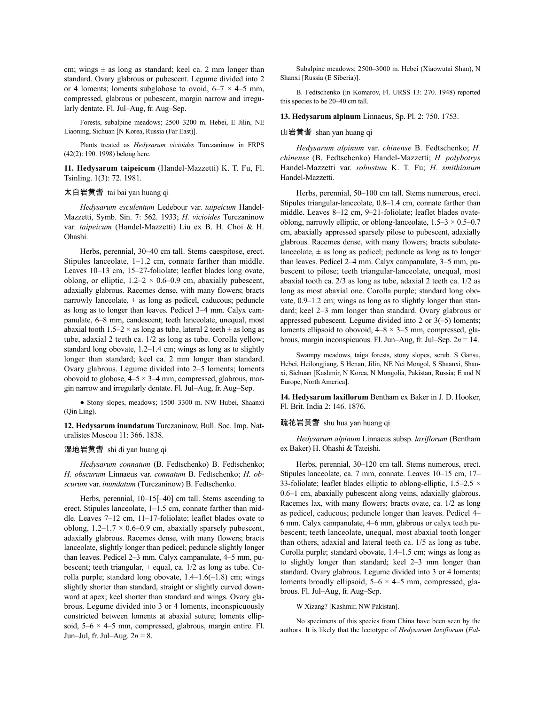cm; wings  $\pm$  as long as standard; keel ca. 2 mm longer than standard. Ovary glabrous or pubescent. Legume divided into 2 or 4 loments; loments subglobose to ovoid,  $6-7 \times 4-5$  mm, compressed, glabrous or pubescent, margin narrow and irregularly dentate. Fl. Jul–Aug, fr. Aug–Sep.

Forests, subalpine meadows; 2500–3200 m. Hebei, E Jilin, NE Liaoning, Sichuan [N Korea, Russia (Far East)].

Plants treated as *Hedysarum vicioides* Turczaninow in FRPS (42(2): 190. 1998) belong here.

**11. Hedysarum taipeicum** (Handel-Mazzetti) K. T. Fu, Fl. Tsinling. 1(3): 72. 1981.

## 太白岩黄耆 tai bai yan huang qi

*Hedysarum esculentum* Ledebour var. *taipeicum* Handel-Mazzetti, Symb. Sin. 7: 562. 1933; *H. vicioides* Turczaninow var. *taipeicum* (Handel-Mazzetti) Liu ex B. H. Choi & H. Ohashi.

Herbs, perennial, 30–40 cm tall. Stems caespitose, erect. Stipules lanceolate, 1–1.2 cm, connate farther than middle. Leaves 10–13 cm, 15–27-foliolate; leaflet blades long ovate, oblong, or elliptic,  $1.2-2 \times 0.6-0.9$  cm, abaxially pubescent, adaxially glabrous. Racemes dense, with many flowers; bracts narrowly lanceolate,  $\pm$  as long as pedicel, caducous; peduncle as long as to longer than leaves. Pedicel 3–4 mm. Calyx campanulate, 6–8 mm, candescent; teeth lanceolate, unequal, most abaxial tooth 1.5–2  $\times$  as long as tube, lateral 2 teeth  $\pm$  as long as tube, adaxial 2 teeth ca. 1/2 as long as tube. Corolla yellow; standard long obovate, 1.2–1.4 cm; wings as long as to slightly longer than standard; keel ca. 2 mm longer than standard. Ovary glabrous. Legume divided into 2–5 loments; loments obovoid to globose,  $4-5 \times 3-4$  mm, compressed, glabrous, margin narrow and irregularly dentate. Fl. Jul–Aug, fr. Aug–Sep.

● Stony slopes, meadows; 1500–3300 m. NW Hubei, Shaanxi (Qin Ling).

**12. Hedysarum inundatum** Turczaninow, Bull. Soc. Imp. Naturalistes Moscou 11: 366. 1838.

#### 湿地岩黄耆 shi di yan huang qi

*Hedysarum connatum* (B. Fedtschenko) B. Fedtschenko; *H. obscurum* Linnaeus var. *connatum* B. Fedtschenko; *H. obscurum* var. *inundatum* (Turczaninow) B. Fedtschenko.

Herbs, perennial, 10–15[–40] cm tall. Stems ascending to erect. Stipules lanceolate, 1–1.5 cm, connate farther than middle. Leaves 7–12 cm, 11–17-foliolate; leaflet blades ovate to oblong,  $1.2-1.7 \times 0.6-0.9$  cm, abaxially sparsely pubescent, adaxially glabrous. Racemes dense, with many flowers; bracts lanceolate, slightly longer than pedicel; peduncle slightly longer than leaves. Pedicel 2–3 mm. Calyx campanulate, 4–5 mm, pubescent; teeth triangular,  $\pm$  equal, ca. 1/2 as long as tube. Corolla purple; standard long obovate, 1.4–1.6(–1.8) cm; wings slightly shorter than standard, straight or slightly curved downward at apex; keel shorter than standard and wings. Ovary glabrous. Legume divided into 3 or 4 loments, inconspicuously constricted between loments at abaxial suture; loments ellipsoid,  $5-6 \times 4-5$  mm, compressed, glabrous, margin entire. Fl. Jun–Jul, fr. Jul–Aug. 2*n* = 8.

Subalpine meadows; 2500–3000 m. Hebei (Xiaowutai Shan), N Shanxi [Russia (E Siberia)].

B. Fedtschenko (in Komarov, Fl. URSS 13: 270. 1948) reported this species to be 20–40 cm tall.

### **13. Hedysarum alpinum** Linnaeus, Sp. Pl. 2: 750. 1753.

### 山岩黄耆 shan yan huang qi

*Hedysarum alpinum* var. *chinense* B. Fedtschenko; *H. chinense* (B. Fedtschenko) Handel-Mazzetti; *H. polybotrys* Handel-Mazzetti var. *robustum* K. T. Fu; *H. smithianum* Handel-Mazzetti.

Herbs, perennial, 50–100 cm tall. Stems numerous, erect. Stipules triangular-lanceolate, 0.8–1.4 cm, connate farther than middle. Leaves 8–12 cm, 9–21-foliolate; leaflet blades ovateoblong, narrowly elliptic, or oblong-lanceolate,  $1.5-3 \times 0.5-0.7$ cm, abaxially appressed sparsely pilose to pubescent, adaxially glabrous. Racemes dense, with many flowers; bracts subulatelanceolate,  $\pm$  as long as pedicel; peduncle as long as to longer than leaves. Pedicel 2–4 mm. Calyx campanulate, 3–5 mm, pubescent to pilose; teeth triangular-lanceolate, unequal, most abaxial tooth ca. 2/3 as long as tube, adaxial 2 teeth ca. 1/2 as long as most abaxial one. Corolla purple; standard long obovate, 0.9–1.2 cm; wings as long as to slightly longer than standard; keel 2–3 mm longer than standard. Ovary glabrous or appressed pubescent. Legume divided into 2 or 3(–5) loments; loments ellipsoid to obovoid,  $4-8 \times 3-5$  mm, compressed, glabrous, margin inconspicuous. Fl. Jun–Aug, fr. Jul–Sep. 2*n* = 14.

Swampy meadows, taiga forests, stony slopes, scrub. S Gansu, Hebei, Heilongjiang, S Henan, Jilin, NE Nei Mongol, S Shaanxi, Shanxi, Sichuan [Kashmir, N Korea, N Mongolia, Pakistan, Russia; E and N Europe, North America].

**14. Hedysarum laxiflorum** Bentham ex Baker in J. D. Hooker, Fl. Brit. India 2: 146. 1876.

#### 疏花岩黄耆 shu hua yan huang qi

*Hedysarum alpinum* Linnaeus subsp. *laxiflorum* (Bentham ex Baker) H. Ohashi & Tateishi.

Herbs, perennial, 30–120 cm tall. Stems numerous, erect. Stipules lanceolate, ca. 7 mm, connate. Leaves 10–15 cm, 17– 33-foliolate; leaflet blades elliptic to oblong-elliptic,  $1.5-2.5 \times$ 0.6–1 cm, abaxially pubescent along veins, adaxially glabrous. Racemes lax, with many flowers; bracts ovate, ca. 1/2 as long as pedicel, caducous; peduncle longer than leaves. Pedicel 4– 6 mm. Calyx campanulate, 4–6 mm, glabrous or calyx teeth pubescent; teeth lanceolate, unequal, most abaxial tooth longer than others, adaxial and lateral teeth ca. 1/5 as long as tube. Corolla purple; standard obovate, 1.4–1.5 cm; wings as long as to slightly longer than standard; keel 2–3 mm longer than standard. Ovary glabrous. Legume divided into 3 or 4 loments; loments broadly ellipsoid,  $5-6 \times 4-5$  mm, compressed, glabrous. Fl. Jul–Aug, fr. Aug–Sep.

W Xizang? [Kashmir, NW Pakistan].

No specimens of this species from China have been seen by the authors. It is likely that the lectotype of *Hedysarum laxiflorum* (*Fal-*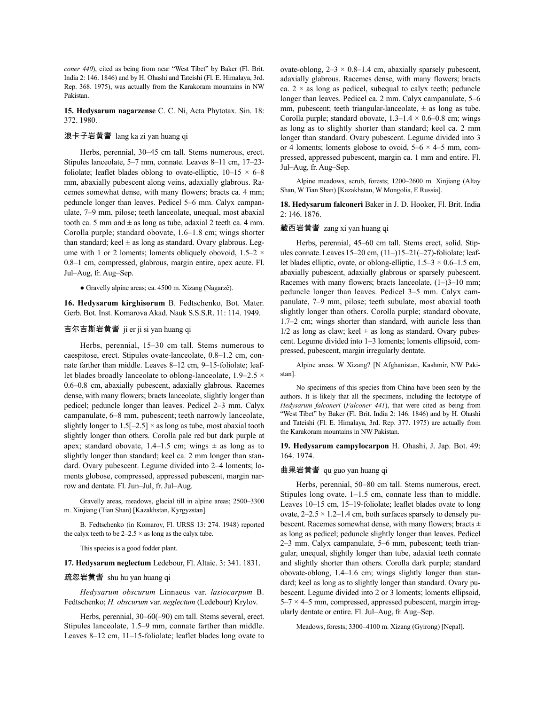*coner 440*), cited as being from near "West Tibet" by Baker (Fl. Brit. India 2: 146. 1846) and by H. Ohashi and Tateishi (Fl. E. Himalaya, 3rd. Rep. 368. 1975), was actually from the Karakoram mountains in NW Pakistan.

**15. Hedysarum nagarzense** C. C. Ni, Acta Phytotax. Sin. 18: 372. 1980.

## 浪卡子岩黄耆 lang ka zi yan huang qi

Herbs, perennial, 30–45 cm tall. Stems numerous, erect. Stipules lanceolate, 5–7 mm, connate. Leaves 8–11 cm, 17–23 foliolate; leaflet blades oblong to ovate-elliptic,  $10-15 \times 6-8$ mm, abaxially pubescent along veins, adaxially glabrous. Racemes somewhat dense, with many flowers; bracts ca. 4 mm; peduncle longer than leaves. Pedicel 5–6 mm. Calyx campanulate, 7–9 mm, pilose; teeth lanceolate, unequal, most abaxial tooth ca. 5 mm and  $\pm$  as long as tube, adaxial 2 teeth ca. 4 mm. Corolla purple; standard obovate, 1.6–1.8 cm; wings shorter than standard; keel  $\pm$  as long as standard. Ovary glabrous. Legume with 1 or 2 loments; loments obliquely obovoid,  $1.5-2 \times$ 0.8–1 cm, compressed, glabrous, margin entire, apex acute. Fl. Jul–Aug, fr. Aug–Sep.

● Gravelly alpine areas; ca. 4500 m. Xizang (Nagarzê).

**16. Hedysarum kirghisorum** B. Fedtschenko, Bot. Mater. Gerb. Bot. Inst. Komarova Akad. Nauk S.S.S.R. 11: 114. 1949.

### 吉尔吉斯岩黄耆 ji er ji si yan huang qi

Herbs, perennial, 15–30 cm tall. Stems numerous to caespitose, erect. Stipules ovate-lanceolate, 0.8–1.2 cm, connate farther than middle. Leaves 8–12 cm, 9–15-foliolate; leaflet blades broadly lanceolate to oblong-lanceolate, 1.9–2.5  $\times$ 0.6–0.8 cm, abaxially pubescent, adaxially glabrous. Racemes dense, with many flowers; bracts lanceolate, slightly longer than pedicel; peduncle longer than leaves. Pedicel 2–3 mm. Calyx campanulate, 6–8 mm, pubescent; teeth narrowly lanceolate, slightly longer to  $1.5[-2.5] \times$  as long as tube, most abaxial tooth slightly longer than others. Corolla pale red but dark purple at apex; standard obovate, 1.4–1.5 cm; wings  $\pm$  as long as to slightly longer than standard; keel ca. 2 mm longer than standard. Ovary pubescent. Legume divided into 2–4 loments; loments globose, compressed, appressed pubescent, margin narrow and dentate. Fl. Jun–Jul, fr. Jul–Aug.

Gravelly areas, meadows, glacial till in alpine areas; 2500–3300 m. Xinjiang (Tian Shan) [Kazakhstan, Kyrgyzstan].

B. Fedtschenko (in Komarov, Fl. URSS 13: 274. 1948) reported the calyx teeth to be  $2-2.5 \times$  as long as the calyx tube.

This species is a good fodder plant.

#### **17. Hedysarum neglectum** Ledebour, Fl. Altaic. 3: 341. 1831.

#### 疏忽岩黄耆 shu hu yan huang qi

*Hedysarum obscurum* Linnaeus var. *lasiocarpum* B. Fedtschenko; *H. obscurum* var. *neglectum* (Ledebour) Krylov.

Herbs, perennial, 30–60(–90) cm tall. Stems several, erect. Stipules lanceolate, 1.5–9 mm, connate farther than middle. Leaves 8–12 cm, 11–15-foliolate; leaflet blades long ovate to ovate-oblong,  $2-3 \times 0.8-1.4$  cm, abaxially sparsely pubescent, adaxially glabrous. Racemes dense, with many flowers; bracts ca.  $2 \times$  as long as pedicel, subequal to calyx teeth; peduncle longer than leaves. Pedicel ca. 2 mm. Calyx campanulate, 5–6 mm, pubescent; teeth triangular-lanceolate,  $\pm$  as long as tube. Corolla purple; standard obovate,  $1.3-1.4 \times 0.6-0.8$  cm; wings as long as to slightly shorter than standard; keel ca. 2 mm longer than standard. Ovary pubescent. Legume divided into 3 or 4 loments; loments globose to ovoid,  $5-6 \times 4-5$  mm, compressed, appressed pubescent, margin ca. 1 mm and entire. Fl. Jul–Aug, fr. Aug–Sep.

Alpine meadows, scrub, forests; 1200–2600 m. Xinjiang (Altay Shan, W Tian Shan) [Kazakhstan, W Mongolia, E Russia].

**18. Hedysarum falconeri** Baker in J. D. Hooker, Fl. Brit. India 2: 146. 1876.

#### 藏西岩黄耆 zang xi yan huang qi

Herbs, perennial, 45–60 cm tall. Stems erect, solid. Stipules connate.Leaves 15–20 cm, (11–)15–21(–27)-foliolate; leaflet blades elliptic, ovate, or oblong-elliptic, 1.5–3 × 0.6–1.5 cm, abaxially pubescent, adaxially glabrous or sparsely pubescent. Racemes with many flowers; bracts lanceolate,  $(1-)3-10$  mm; peduncle longer than leaves. Pedicel 3–5 mm. Calyx campanulate, 7–9 mm, pilose; teeth subulate, most abaxial tooth slightly longer than others. Corolla purple; standard obovate, 1.7–2 cm; wings shorter than standard, with auricle less than  $1/2$  as long as claw; keel  $\pm$  as long as standard. Ovary pubescent. Legume divided into 1–3 loments; loments ellipsoid, compressed, pubescent, margin irregularly dentate.

Alpine areas. W Xizang? [N Afghanistan, Kashmir, NW Pakistan].

No specimens of this species from China have been seen by the authors. It is likely that all the specimens, including the lectotype of *Hedysarum falconeri* (*Falconer 441*), that were cited as being from "West Tibet" by Baker (Fl. Brit. India 2: 146. 1846) and by H. Ohashi and Tateishi (Fl. E. Himalaya, 3rd. Rep. 377. 1975) are actually from the Karakoram mountains in NW Pakistan.

**19. Hedysarum campylocarpon** H. Ohashi, J. Jap. Bot. 49: 164. 1974.

### 曲果岩黄耆 qu guo yan huang qi

Herbs, perennial, 50–80 cm tall. Stems numerous, erect. Stipules long ovate, 1–1.5 cm, connate less than to middle. Leaves 10–15 cm, 15–19-foliolate; leaflet blades ovate to long ovate,  $2-2.5 \times 1.2-1.4$  cm, both surfaces sparsely to densely pubescent. Racemes somewhat dense, with many flowers; bracts  $\pm$ as long as pedicel; peduncle slightly longer than leaves. Pedicel 2–3 mm. Calyx campanulate, 5–6 mm, pubescent; teeth triangular, unequal, slightly longer than tube, adaxial teeth connate and slightly shorter than others. Corolla dark purple; standard obovate-oblong, 1.4–1.6 cm; wings slightly longer than standard; keel as long as to slightly longer than standard. Ovary pubescent. Legume divided into 2 or 3 loments; loments ellipsoid, 5–7 × 4–5 mm, compressed, appressed pubescent, margin irregularly dentate or entire. Fl. Jul–Aug, fr. Aug–Sep.

Meadows, forests; 3300–4100 m. Xizang (Gyirong) [Nepal].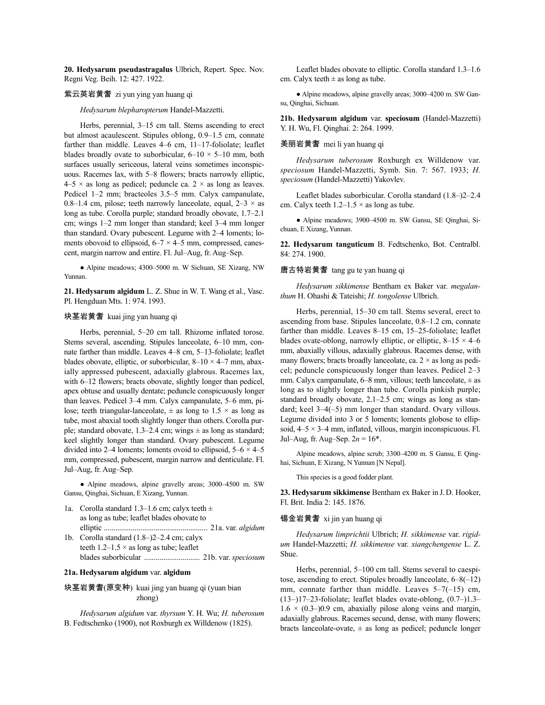**20. Hedysarum pseudastragalus** Ulbrich, Repert. Spec. Nov. Regni Veg. Beih. 12: 427. 1922.

## 紫云英岩黄耆 zi yun ying yan huang qi

*Hedysarum blepharopterum* Handel-Mazzetti.

Herbs, perennial, 3–15 cm tall. Stems ascending to erect but almost acaulescent. Stipules oblong, 0.9–1.5 cm, connate farther than middle. Leaves 4–6 cm, 11–17-foliolate; leaflet blades broadly ovate to suborbicular,  $6-10 \times 5-10$  mm, both surfaces usually sericeous, lateral veins sometimes inconspicuous. Racemes lax, with 5–8 flowers; bracts narrowly elliptic,  $4-5 \times$  as long as pedicel; peduncle ca.  $2 \times$  as long as leaves. Pedicel 1–2 mm; bracteoles 3.5–5 mm. Calyx campanulate, 0.8–1.4 cm, pilose; teeth narrowly lanceolate, equal,  $2-3 \times$  as long as tube. Corolla purple; standard broadly obovate, 1.7–2.1 cm; wings 1–2 mm longer than standard; keel 3–4 mm longer than standard. Ovary pubescent. Legume with 2–4 loments; loments obovoid to ellipsoid,  $6-7 \times 4-5$  mm, compressed, canescent, margin narrow and entire. Fl. Jul–Aug, fr. Aug–Sep.

● Alpine meadows; 4300–5000 m. W Sichuan, SE Xizang, NW Yunnan.

**21. Hedysarum algidum** L. Z. Shue in W. T. Wang et al., Vasc. Pl. Hengduan Mts. 1: 974. 1993.

### 块茎岩黄耆 kuai jing yan huang qi

Herbs, perennial, 5–20 cm tall. Rhizome inflated torose. Stems several, ascending. Stipules lanceolate, 6–10 mm, connate farther than middle. Leaves 4–8 cm, 5–13-foliolate; leaflet blades obovate, elliptic, or suborbicular,  $8-10 \times 4-7$  mm, abaxially appressed pubescent, adaxially glabrous. Racemes lax, with 6–12 flowers; bracts obovate, slightly longer than pedicel, apex obtuse and usually dentate; peduncle conspicuously longer than leaves. Pedicel 3–4 mm. Calyx campanulate, 5–6 mm, pilose; teeth triangular-lanceolate,  $\pm$  as long to 1.5  $\times$  as long as tube, most abaxial tooth slightly longer than others.Corolla purple; standard obovate, 1.3–2.4 cm; wings  $\pm$  as long as standard; keel slightly longer than standard. Ovary pubescent. Legume divided into 2–4 loments; loments ovoid to ellipsoid,  $5-6 \times 4-5$ mm, compressed, pubescent, margin narrow and denticulate. Fl. Jul–Aug, fr. Aug–Sep.

● Alpine meadows, alpine gravelly areas; 3000–4500 m. SW Gansu, Qinghai, Sichuan, E Xizang, Yunnan.

- 1a. Corolla standard 1.3–1.6 cm; calyx teeth  $\pm$ as long as tube; leaflet blades obovate to elliptic ...................................................... 21a. var. *algidum*
- 1b. Corolla standard (1.8–)2–2.4 cm; calyx teeth  $1.2-1.5 \times$  as long as tube; leaflet blades suborbicular ............................. 21b. var. *speciosum*

## **21a. Hedysarum algidum** var. **algidum**

块茎岩黄耆(原变种) kuai jing yan huang qi (yuan bian zhong)

*Hedysarum algidum* var. *thyrsum* Y. H. Wu; *H. tuberosum* B. Fedtschenko (1900), not Roxburgh ex Willdenow (1825).

Leaflet blades obovate to elliptic. Corolla standard 1.3–1.6 cm. Calyx teeth  $\pm$  as long as tube.

● Alpine meadows, alpine gravelly areas; 3000–4200 m. SW Gansu, Qinghai, Sichuan.

**21b. Hedysarum algidum** var. **speciosum** (Handel-Mazzetti) Y. H. Wu, Fl. Qinghai. 2: 264. 1999.

### 美丽岩黄耆 mei li yan huang qi

*Hedysarum tuberosum* Roxburgh ex Willdenow var. *speciosum* Handel-Mazzetti, Symb. Sin. 7: 567. 1933; *H. speciosum* (Handel-Mazzetti) Yakovlev.

Leaflet blades suborbicular. Corolla standard (1.8–)2–2.4 cm. Calyx teeth  $1.2-1.5 \times$  as long as tube.

● Alpine meadows; 3900–4500 m. SW Gansu, SE Qinghai, Sichuan, E Xizang, Yunnan.

**22. Hedysarum tanguticum** B. Fedtschenko, Bot. Centralbl. 84: 274. 1900.

### 唐古特岩黄耆 tang gu te yan huang qi

*Hedysarum sikkimense* Bentham ex Baker var. *megalanthum* H. Ohashi & Tateishi; *H. tongolense* Ulbrich.

Herbs, perennial, 15–30 cm tall. Stems several, erect to ascending from base. Stipules lanceolate, 0.8–1.2 cm, connate farther than middle. Leaves 8–15 cm, 15–25-foliolate; leaflet blades ovate-oblong, narrowly elliptic, or elliptic,  $8-15 \times 4-6$ mm, abaxially villous, adaxially glabrous. Racemes dense, with many flowers; bracts broadly lanceolate, ca.  $2 \times$  as long as pedicel; peduncle conspicuously longer than leaves. Pedicel 2–3 mm. Calyx campanulate,  $6-8$  mm, villous; teeth lanceolate,  $\pm$  as long as to slightly longer than tube. Corolla pinkish purple; standard broadly obovate, 2.1–2.5 cm; wings as long as standard; keel 3–4(–5) mm longer than standard. Ovary villous. Legume divided into 3 or 5 loments; loments globose to ellipsoid,  $4-5 \times 3-4$  mm, inflated, villous, margin inconspicuous. Fl. Jul–Aug, fr. Aug–Sep.  $2n = 16^*$ .

Alpine meadows, alpine scrub; 3300–4200 m. S Gansu, E Qinghai, Sichuan, E Xizang, N Yunnan [N Nepal].

This species is a good fodder plant.

**23. Hedysarum sikkimense** Bentham ex Baker in J. D. Hooker, Fl. Brit. India 2: 145. 1876.

#### 锡金岩黄耆 xi jin yan huang qi

*Hedysarum limprichtii* Ulbrich; *H. sikkimense* var. *rigidum* Handel-Mazzetti; *H. sikkimense* var. *xiangchengense* L. Z. Shue.

Herbs, perennial, 5–100 cm tall. Stems several to caespitose, ascending to erect. Stipules broadly lanceolate, 6–8(–12) mm, connate farther than middle. Leaves  $5-7(-15)$  cm, (13–)17–23-foliolate; leaflet blades ovate-oblong, (0.7–)1.3–  $1.6 \times (0.3-0.9)$  cm, abaxially pilose along veins and margin, adaxially glabrous. Racemes secund, dense, with many flowers; bracts lanceolate-ovate,  $\pm$  as long as pedicel; peduncle longer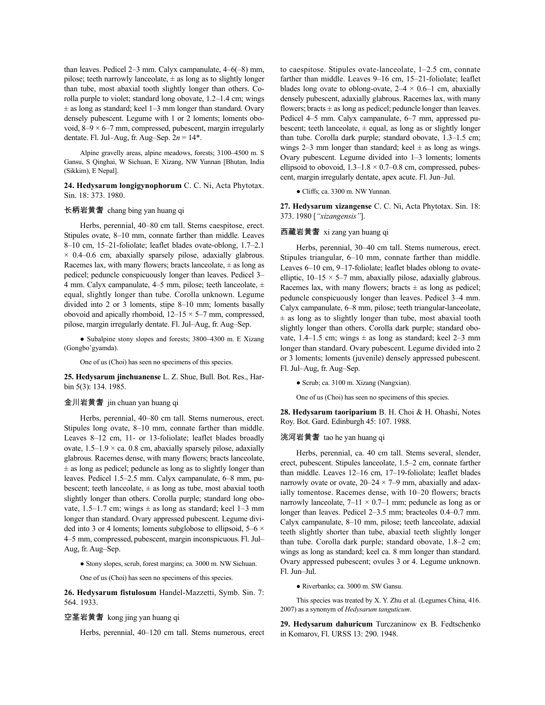than leaves. Pedicel 2–3 mm. Calyx campanulate, 4–6(–8) mm, pilose; teeth narrowly lanceolate,  $\pm$  as long as to slightly longer than tube, most abaxial tooth slightly longer than others. Corolla purple to violet; standard long obovate, 1.2–1.4 cm; wings  $\pm$  as long as standard; keel 1–3 mm longer than standard. Ovary densely pubescent. Legume with 1 or 2 loments; loments obovoid,  $8-9 \times 6-7$  mm, compressed, pubescent, margin irregularly dentate. Fl. Jul–Aug, fr. Aug–Sep. 2*n* = 14\*.

Alpine gravelly areas, alpine meadows, forests; 3100–4500 m. S Gansu, S Qinghai, W Sichuan, E Xizang, NW Yunnan [Bhutan, India (Sikkim), E Nepal].

**24. Hedysarum longigynophorum** C. C. Ni, Acta Phytotax. Sin. 18: 373. 1980.

## 长柄岩黄耆 chang bing yan huang qi

Herbs, perennial, 40–80 cm tall. Stems caespitose, erect. Stipules ovate, 8–10 mm, connate farther than middle. Leaves 8–10 cm, 15–21-foliolate; leaflet blades ovate-oblong, 1.7–2.1  $\times$  0.4–0.6 cm, abaxially sparsely pilose, adaxially glabrous. Racemes lax, with many flowers; bracts lanceolate,  $\pm$  as long as pedicel; peduncle conspicuously longer than leaves. Pedicel 3– 4 mm. Calyx campanulate, 4–5 mm, pilose; teeth lanceolate,  $\pm$ equal, slightly longer than tube. Corolla unknown. Legume divided into 2 or 3 loments, stipe 8–10 mm; loments basally obovoid and apically rhomboid,  $12-15 \times 5-7$  mm, compressed, pilose, margin irregularly dentate. Fl. Jul–Aug, fr. Aug–Sep.

● Subalpine stony slopes and forests; 3800–4300 m. E Xizang (Gongbo'gyamda).

One of us (Choi) has seen no specimens of this species.

**25. Hedysarum jinchuanense** L. Z. Shue, Bull. Bot. Res., Harbin 5(3): 134. 1985.

### 金川岩黄耆 jin chuan yan huang qi

Herbs, perennial, 40–80 cm tall. Stems numerous, erect. Stipules long ovate, 8–10 mm, connate farther than middle. Leaves 8–12 cm, 11- or 13-foliolate; leaflet blades broadly ovate,  $1.5-1.9 \times$  ca. 0.8 cm, abaxially sparsely pilose, adaxially glabrous. Racemes dense, with many flowers; bracts lanceolate,  $±$  as long as pedicel; peduncle as long as to slightly longer than leaves. Pedicel 1.5–2.5 mm. Calyx campanulate, 6–8 mm, pubescent; teeth lanceolate,  $\pm$  as long as tube, most abaxial tooth slightly longer than others. Corolla purple; standard long obovate, 1.5–1.7 cm; wings  $\pm$  as long as standard; keel 1–3 mm longer than standard. Ovary appressed pubescent. Legume divided into 3 or 4 loments; loments subglobose to ellipsoid,  $5-6 \times$ 4–5 mm, compressed, pubescent, margin inconspicuous. Fl. Jul– Aug, fr. Aug–Sep.

● Stony slopes, scrub, forest margins; ca. 3000 m. NW Sichuan.

One of us (Choi) has seen no specimens of this species.

**26. Hedysarum fistulosum** Handel-Mazzetti, Symb. Sin. 7: 564. 1933.

### 空茎岩黄耆 kong jing yan huang qi

Herbs, perennial, 40–120 cm tall. Stems numerous, erect

to caespitose. Stipules ovate-lanceolate, 1–2.5 cm, connate farther than middle. Leaves 9–16 cm, 15–21-foliolate; leaflet blades long ovate to oblong-ovate,  $2-4 \times 0.6-1$  cm, abaxially densely pubescent, adaxially glabrous. Racemes lax, with many flowers; bracts  $\pm$  as long as pedicel; peduncle longer than leaves. Pedicel 4–5 mm. Calyx campanulate, 6–7 mm, appressed pubescent; teeth lanceolate,  $\pm$  equal, as long as or slightly longer than tube. Corolla dark purple; standard obovate, 1.3–1.5 cm; wings 2–3 mm longer than standard; keel  $\pm$  as long as wings. Ovary pubescent. Legume divided into 1–3 loments; loments ellipsoid to obovoid,  $1.3-1.8 \times 0.7-0.8$  cm, compressed, pubescent, margin irregularly dentate, apex acute. Fl. Jun–Jul.

● Cliffs; ca. 3300 m. NW Yunnan.

**27. Hedysarum xizangense** C. C. Ni, Acta Phytotax. Sin. 18: 373. 1980 [*"xizangensis"*].

## 西藏岩黄耆 xi zang yan huang qi

Herbs, perennial, 30–40 cm tall. Stems numerous, erect. Stipules triangular, 6–10 mm, connate farther than middle. Leaves 6–10 cm, 9–17-foliolate; leaflet blades oblong to ovateelliptic,  $10-15 \times 5-7$  mm, abaxially pilose, adaxially glabrous. Racemes lax, with many flowers; bracts  $\pm$  as long as pedicel; peduncle conspicuously longer than leaves. Pedicel 3–4 mm. Calyx campanulate, 6–8 mm, pilose; teeth triangular-lanceolate,  $\pm$  as long as to slightly longer than tube, most abaxial tooth slightly longer than others. Corolla dark purple; standard obovate, 1.4–1.5 cm; wings  $\pm$  as long as standard; keel 2–3 mm longer than standard. Ovary pubescent. Legume divided into 2 or 3 loments; loments (juvenile) densely appressed pubescent. Fl. Jul–Aug, fr. Aug–Sep.

● Scrub; ca. 3100 m. Xizang (Nangxian).

One of us (Choi) has seen no specimens of this species.

**28. Hedysarum taoriparium** B. H. Choi & H. Ohashi, Notes Roy. Bot. Gard. Edinburgh 45: 107. 1988.

### 洮河岩黄耆 tao he yan huang qi

Herbs, perennial, ca. 40 cm tall. Stems several, slender, erect, pubescent. Stipules lanceolate, 1.5–2 cm, connate farther than middle. Leaves 12–16 cm, 17–19-foliolate; leaflet blades narrowly ovate or ovate,  $20-24 \times 7-9$  mm, abaxially and adaxially tomentose. Racemes dense, with 10–20 flowers; bracts narrowly lanceolate,  $7-11 \times 0.7-1$  mm; peduncle as long as or longer than leaves. Pedicel 2–3.5 mm; bracteoles 0.4–0.7 mm. Calyx campanulate, 8–10 mm, pilose; teeth lanceolate, adaxial teeth slightly shorter than tube, abaxial teeth slightly longer than tube. Corolla dark purple; standard obovate, 1.8–2 cm; wings as long as standard; keel ca. 8 mm longer than standard. Ovary appressed pubescent; ovules 3 or 4. Legume unknown. Fl. Jun–Jul.

● Riverbanks; ca. 3000 m. SW Gansu.

This species was treated by X. Y. Zhu et al. (Legumes China, 416. 2007) as a synonym of *Hedysarum tanguticum*.

**29. Hedysarum dahuricum** Turczaninow ex B. Fedtschenko in Komarov, Fl. URSS 13: 290. 1948.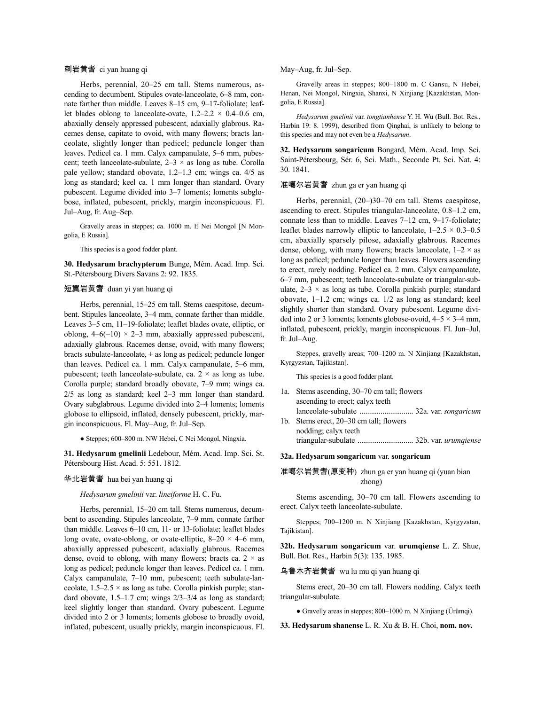#### 刺岩黄耆 ci yan huang qi

Herbs, perennial, 20–25 cm tall. Stems numerous, ascending to decumbent. Stipules ovate-lanceolate, 6–8 mm, connate farther than middle. Leaves 8–15 cm, 9–17-foliolate; leaflet blades oblong to lanceolate-ovate,  $1.2-2.2 \times 0.4-0.6$  cm, abaxially densely appressed pubescent, adaxially glabrous. Racemes dense, capitate to ovoid, with many flowers; bracts lanceolate, slightly longer than pedicel; peduncle longer than leaves. Pedicel ca. 1 mm. Calyx campanulate, 5–6 mm, pubescent; teeth lanceolate-subulate,  $2-3 \times$  as long as tube. Corolla pale yellow; standard obovate, 1.2–1.3 cm; wings ca. 4/5 as long as standard; keel ca. 1 mm longer than standard. Ovary pubescent. Legume divided into 3–7 loments; loments subglobose, inflated, pubescent, prickly, margin inconspicuous. Fl. Jul–Aug, fr. Aug–Sep.

Gravelly areas in steppes; ca. 1000 m. E Nei Mongol [N Mongolia, E Russia].

This species is a good fodder plant.

**30. Hedysarum brachypterum** Bunge, Mém. Acad. Imp. Sci. St.-Pétersbourg Divers Savans 2: 92. 1835.

### 短翼岩黄耆 duan yi yan huang qi

Herbs, perennial, 15–25 cm tall. Stems caespitose, decumbent. Stipules lanceolate, 3–4 mm, connate farther than middle. Leaves 3–5 cm, 11–19-foliolate; leaflet blades ovate, elliptic, or oblong,  $4-6(-10) \times 2-3$  mm, abaxially appressed pubescent, adaxially glabrous. Racemes dense, ovoid, with many flowers; bracts subulate-lanceolate,  $\pm$  as long as pedicel; peduncle longer than leaves. Pedicel ca. 1 mm. Calyx campanulate, 5–6 mm, pubescent; teeth lanceolate-subulate, ca.  $2 \times$  as long as tube. Corolla purple; standard broadly obovate, 7–9 mm; wings ca. 2/5 as long as standard; keel 2–3 mm longer than standard. Ovary subglabrous. Legume divided into 2–4 loments; loments globose to ellipsoid, inflated, densely pubescent, prickly, margin inconspicuous. Fl. May–Aug, fr. Jul–Sep.

● Steppes; 600–800 m. NW Hebei, C Nei Mongol, Ningxia.

**31. Hedysarum gmelinii** Ledebour, Mém. Acad. Imp. Sci. St. Pétersbourg Hist. Acad. 5: 551. 1812.

### 华北岩黄耆 hua bei yan huang qi

*Hedysarum gmelinii* var. *lineiforme* H. C. Fu.

Herbs, perennial, 15–20 cm tall. Stems numerous, decumbent to ascending. Stipules lanceolate, 7–9 mm, connate farther than middle. Leaves 6–10 cm, 11- or 13-foliolate; leaflet blades long ovate, ovate-oblong, or ovate-elliptic,  $8-20 \times 4-6$  mm, abaxially appressed pubescent, adaxially glabrous. Racemes dense, ovoid to oblong, with many flowers; bracts ca.  $2 \times$  as long as pedicel; peduncle longer than leaves. Pedicel ca. 1 mm. Calyx campanulate, 7–10 mm, pubescent; teeth subulate-lanceolate,  $1.5-2.5 \times$  as long as tube. Corolla pinkish purple; standard obovate, 1.5–1.7 cm; wings 2/3–3/4 as long as standard; keel slightly longer than standard. Ovary pubescent. Legume divided into 2 or 3 loments; loments globose to broadly ovoid, inflated, pubescent, usually prickly, margin inconspicuous. Fl.

#### May–Aug, fr. Jul–Sep.

Gravelly areas in steppes; 800–1800 m. C Gansu, N Hebei, Henan, Nei Mongol, Ningxia, Shanxi, N Xinjiang [Kazakhstan, Mongolia, E Russia].

*Hedysarum gmelinii* var. *tongtianhense* Y. H. Wu (Bull. Bot. Res., Harbin 19: 8. 1999), described from Qinghai, is unlikely to belong to this species and may not even be a *Hedysarum*.

**32. Hedysarum songaricum** Bongard, Mém. Acad. Imp. Sci. Saint-Pétersbourg, Sér. 6, Sci. Math., Seconde Pt. Sci. Nat. 4: 30. 1841.

## 准噶尔岩黄耆 zhun ga er yan huang qi

Herbs, perennial, (20–)30–70 cm tall. Stems caespitose, ascending to erect. Stipules triangular-lanceolate, 0.8–1.2 cm, connate less than to middle. Leaves 7–12 cm, 9–17-foliolate; leaflet blades narrowly elliptic to lanceolate,  $1-2.5 \times 0.3-0.5$ cm, abaxially sparsely pilose, adaxially glabrous. Racemes dense, oblong, with many flowers; bracts lanceolate,  $1-2 \times$  as long as pedicel; peduncle longer than leaves. Flowers ascending to erect, rarely nodding. Pedicel ca. 2 mm. Calyx campanulate, 6–7 mm, pubescent; teeth lanceolate-subulate or triangular-subulate,  $2-3 \times$  as long as tube. Corolla pinkish purple; standard obovate, 1–1.2 cm; wings ca. 1/2 as long as standard; keel slightly shorter than standard. Ovary pubescent. Legume divided into 2 or 3 loments; loments globose-ovoid,  $4-5 \times 3-4$  mm, inflated, pubescent, prickly, margin inconspicuous. Fl. Jun–Jul, fr. Jul–Aug.

Steppes, gravelly areas; 700–1200 m. N Xinjiang [Kazakhstan, Kyrgyzstan, Tajikistan].

This species is a good fodder plant.

- 1a. Stems ascending, 30–70 cm tall; flowers ascending to erect; calyx teeth lanceolate-subulate ............................ 32a. var. *songaricum*
- 1b. Stems erect, 20–30 cm tall; flowers nodding; calyx teeth triangular-subulate ............................. 32b. var. *urumqiense*

## **32a. Hedysarum songaricum** var. **songaricum**

准噶尔岩黄耆(原变种) zhun ga er yan huang qi (yuan bian zhong)

Stems ascending, 30–70 cm tall. Flowers ascending to erect. Calyx teeth lanceolate-subulate.

Steppes; 700–1200 m. N Xinjiang [Kazakhstan, Kyrgyzstan, Tajikistan].

**32b. Hedysarum songaricum** var. **urumqiense** L. Z. Shue, Bull. Bot. Res., Harbin 5(3): 135. 1985.

乌鲁木齐岩黄耆 wu lu mu qi yan huang qi

Stems erect, 20–30 cm tall. Flowers nodding. Calyx teeth triangular-subulate.

● Gravelly areas in steppes; 800–1000 m. N Xinjiang (Ürümqi).

**33. Hedysarum shanense** L. R. Xu & B. H. Choi, **nom. nov.**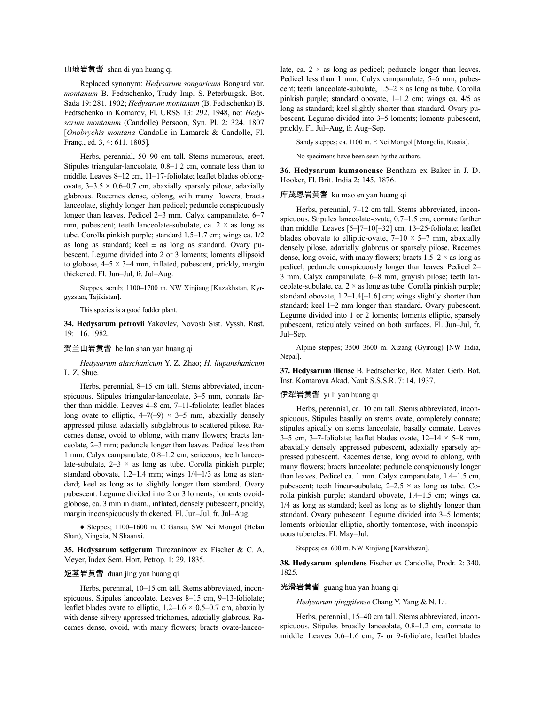#### 山地岩黄耆 shan di yan huang qi

Replaced synonym: *Hedysarum songaricum* Bongard var. *montanum* B. Fedtschenko, Trudy Imp. S.-Peterburgsk. Bot. Sada 19: 281. 1902; *Hedysarum montanum* (B. Fedtschenko) B. Fedtschenko in Komarov, Fl. URSS 13: 292. 1948, not *Hedysarum montanum* (Candolle) Persoon, Syn. Pl. 2: 324. 1807 [*Onobrychis montana* Candolle in Lamarck & Candolle, Fl. Franç., ed. 3, 4: 611. 1805].

Herbs, perennial, 50–90 cm tall. Stems numerous, erect. Stipules triangular-lanceolate, 0.8–1.2 cm, connate less than to middle. Leaves 8–12 cm, 11–17-foliolate; leaflet blades oblongovate,  $3-3.5 \times 0.6-0.7$  cm, abaxially sparsely pilose, adaxially glabrous. Racemes dense, oblong, with many flowers; bracts lanceolate, slightly longer than pedicel; peduncle conspicuously longer than leaves. Pedicel 2–3 mm. Calyx campanulate, 6–7 mm, pubescent; teeth lanceolate-subulate, ca.  $2 \times$  as long as tube. Corolla pinkish purple; standard 1.5–1.7 cm; wings ca. 1/2 as long as standard; keel  $\pm$  as long as standard. Ovary pubescent. Legume divided into 2 or 3 loments; loments ellipsoid to globose,  $4-5 \times 3-4$  mm, inflated, pubescent, prickly, margin thickened. Fl. Jun–Jul, fr. Jul–Aug.

Steppes, scrub; 1100–1700 m. NW Xinjiang [Kazakhstan, Kyrgyzstan, Tajikistan].

This species is a good fodder plant.

**34. Hedysarum petrovii** Yakovlev, Novosti Sist. Vyssh. Rast. 19: 116. 1982.

### 贺兰山岩黄耆 he lan shan yan huang qi

*Hedysarum alaschanicum* Y. Z. Zhao; *H. liupanshanicum* L. Z. Shue.

Herbs, perennial, 8–15 cm tall. Stems abbreviated, inconspicuous. Stipules triangular-lanceolate, 3–5 mm, connate farther than middle. Leaves 4–8 cm, 7–11-foliolate; leaflet blades long ovate to elliptic,  $4-7(-9) \times 3-5$  mm, abaxially densely appressed pilose, adaxially subglabrous to scattered pilose. Racemes dense, ovoid to oblong, with many flowers; bracts lanceolate, 2–3 mm; peduncle longer than leaves. Pedicel less than 1 mm. Calyx campanulate, 0.8–1.2 cm, sericeous; teeth lanceolate-subulate,  $2-3 \times$  as long as tube. Corolla pinkish purple; standard obovate, 1.2–1.4 mm; wings 1/4–1/3 as long as standard; keel as long as to slightly longer than standard. Ovary pubescent. Legume divided into 2 or 3 loments; loments ovoidglobose, ca. 3 mm in diam., inflated, densely pubescent, prickly, margin inconspicuously thickened. Fl. Jun–Jul, fr. Jul–Aug.

● Steppes; 1100–1600 m. C Gansu, SW Nei Mongol (Helan Shan), Ningxia, N Shaanxi.

**35. Hedysarum setigerum** Turczaninow ex Fischer & C. A. Meyer, Index Sem. Hort. Petrop. 1: 29. 1835.

#### 短茎岩黄耆 duan jing yan huang qi

Herbs, perennial, 10–15 cm tall. Stems abbreviated, inconspicuous. Stipules lanceolate. Leaves 8–15 cm, 9–13-foliolate; leaflet blades ovate to elliptic,  $1.2-1.6 \times 0.5-0.7$  cm, abaxially with dense silvery appressed trichomes, adaxially glabrous. Racemes dense, ovoid, with many flowers; bracts ovate-lanceolate, ca.  $2 \times$  as long as pedicel; peduncle longer than leaves. Pedicel less than 1 mm. Calyx campanulate, 5–6 mm, pubescent; teeth lanceolate-subulate,  $1.5-2 \times$  as long as tube. Corolla pinkish purple; standard obovate, 1–1.2 cm; wings ca. 4/5 as long as standard; keel slightly shorter than standard. Ovary pubescent. Legume divided into 3–5 loments; loments pubescent, prickly. Fl. Jul–Aug, fr. Aug–Sep.

Sandy steppes; ca. 1100 m. E Nei Mongol [Mongolia, Russia].

No specimens have been seen by the authors.

**36. Hedysarum kumaonense** Bentham ex Baker in J. D. Hooker, Fl. Brit. India 2: 145. 1876.

### 库茂恩岩黄耆 ku mao en yan huang qi

Herbs, perennial, 7–12 cm tall. Stems abbreviated, inconspicuous. Stipules lanceolate-ovate, 0.7–1.5 cm, connate farther than middle. Leaves [5–]7–10[–32] cm, 13–25-foliolate; leaflet blades obovate to elliptic-ovate,  $7-10 \times 5-7$  mm, abaxially densely pilose, adaxially glabrous or sparsely pilose. Racemes dense, long ovoid, with many flowers; bracts  $1.5-2 \times$  as long as pedicel; peduncle conspicuously longer than leaves. Pedicel 2– 3 mm. Calyx campanulate, 6–8 mm, grayish pilose; teeth lanceolate-subulate, ca.  $2 \times$  as long as tube. Corolla pinkish purple; standard obovate, 1.2–1.4[–1.6] cm; wings slightly shorter than standard; keel 1–2 mm longer than standard. Ovary pubescent. Legume divided into 1 or 2 loments; loments elliptic, sparsely pubescent, reticulately veined on both surfaces. Fl. Jun–Jul, fr. Jul–Sep.

Alpine steppes; 3500–3600 m. Xizang (Gyirong) [NW India, Nepal].

**37. Hedysarum iliense** B. Fedtschenko, Bot. Mater. Gerb. Bot. Inst. Komarova Akad. Nauk S.S.S.R. 7: 14. 1937.

### 伊犁岩黄耆 yi li yan huang qi

Herbs, perennial, ca. 10 cm tall. Stems abbreviated, inconspicuous. Stipules basally on stems ovate, completely connate; stipules apically on stems lanceolate, basally connate. Leaves 3–5 cm, 3–7-foliolate; leaflet blades ovate,  $12-14 \times 5-8$  mm, abaxially densely appressed pubescent, adaxially sparsely appressed pubescent. Racemes dense, long ovoid to oblong, with many flowers; bracts lanceolate; peduncle conspicuously longer than leaves. Pedicel ca. 1 mm. Calyx campanulate, 1.4–1.5 cm, pubescent; teeth linear-subulate,  $2-2.5 \times$  as long as tube. Corolla pinkish purple; standard obovate, 1.4–1.5 cm; wings ca. 1/4 as long as standard; keel as long as to slightly longer than standard. Ovary pubescent. Legume divided into 3–5 loments; loments orbicular-elliptic, shortly tomentose, with inconspicuous tubercles. Fl. May–Jul.

Steppes; ca. 600 m. NW Xinjiang [Kazakhstan].

**38. Hedysarum splendens** Fischer ex Candolle, Prodr. 2: 340. 1825.

### 光滑岩黄耆 guang hua yan huang qi

*Hedysarum qinggilense* Chang Y. Yang & N. Li.

Herbs, perennial, 15–40 cm tall. Stems abbreviated, inconspicuous. Stipules broadly lanceolate, 0.8–1.2 cm, connate to middle. Leaves 0.6–1.6 cm, 7- or 9-foliolate; leaflet blades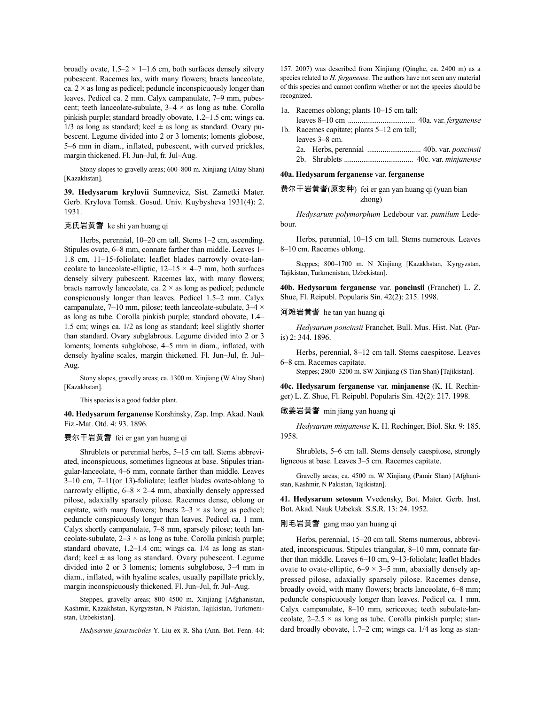broadly ovate,  $1.5-2 \times 1-1.6$  cm, both surfaces densely silvery pubescent. Racemes lax, with many flowers; bracts lanceolate, ca.  $2 \times$  as long as pedicel; peduncle inconspicuously longer than leaves. Pedicel ca. 2 mm. Calyx campanulate, 7–9 mm, pubescent; teeth lanceolate-subulate, 3–4 × as long as tube. Corolla pinkish purple; standard broadly obovate, 1.2–1.5 cm; wings ca.  $1/3$  as long as standard; keel  $\pm$  as long as standard. Ovary pubescent. Legume divided into 2 or 3 loments; loments globose, 5–6 mm in diam., inflated, pubescent, with curved prickles, margin thickened. Fl. Jun–Jul, fr. Jul–Aug.

Stony slopes to gravelly areas; 600–800 m. Xinjiang (Altay Shan) [Kazakhstan].

**39. Hedysarum krylovii** Sumnevicz, Sist. Zametki Mater. Gerb. Krylova Tomsk. Gosud. Univ. Kuybysheva 1931(4): 2. 1931.

### 克氏岩黄耆 ke shi yan huang qi

Herbs, perennial, 10–20 cm tall. Stems 1–2 cm, ascending. Stipules ovate, 6–8 mm, connate farther than middle. Leaves 1– 1.8 cm, 11–15-foliolate; leaflet blades narrowly ovate-lanceolate to lanceolate-elliptic,  $12-15 \times 4-7$  mm, both surfaces densely silvery pubescent. Racemes lax, with many flowers; bracts narrowly lanceolate, ca.  $2 \times$  as long as pedicel; peduncle conspicuously longer than leaves. Pedicel 1.5–2 mm. Calyx campanulate, 7–10 mm, pilose; teeth lanceolate-subulate,  $3-4 \times$ as long as tube. Corolla pinkish purple; standard obovate, 1.4– 1.5 cm; wings ca. 1/2 as long as standard; keel slightly shorter than standard. Ovary subglabrous. Legume divided into 2 or 3 loments; loments subglobose, 4–5 mm in diam., inflated, with densely hyaline scales, margin thickened. Fl. Jun–Jul, fr. Jul– Aug.

Stony slopes, gravelly areas; ca. 1300 m. Xinjiang (W Altay Shan) [Kazakhstan].

This species is a good fodder plant.

**40. Hedysarum ferganense** Korshinsky, Zap. Imp. Akad. Nauk Fiz.-Mat. Otd. 4: 93. 1896.

#### 费尔干岩黄耆 fei er gan yan huang qi

Shrublets or perennial herbs, 5–15 cm tall. Stems abbreviated, inconspicuous, sometimes ligneous at base. Stipules triangular-lanceolate, 4–6 mm, connate farther than middle. Leaves 3–10 cm, 7–11(or 13)-foliolate; leaflet blades ovate-oblong to narrowly elliptic,  $6-8 \times 2-4$  mm, abaxially densely appressed pilose, adaxially sparsely pilose. Racemes dense, oblong or capitate, with many flowers; bracts  $2-3 \times$  as long as pedicel; peduncle conspicuously longer than leaves. Pedicel ca. 1 mm. Calyx shortly campanulate, 7–8 mm, sparsely pilose; teeth lanceolate-subulate,  $2-3 \times$  as long as tube. Corolla pinkish purple; standard obovate, 1.2–1.4 cm; wings ca. 1/4 as long as standard; keel  $\pm$  as long as standard. Ovary pubescent. Legume divided into 2 or 3 loments; loments subglobose, 3–4 mm in diam., inflated, with hyaline scales, usually papillate prickly, margin inconspicuously thickened. Fl. Jun–Jul, fr. Jul–Aug.

Steppes, gravelly areas; 800–4500 m. Xinjiang [Afghanistan, Kashmir, Kazakhstan, Kyrgyzstan, N Pakistan, Tajikistan, Turkmenistan, Uzbekistan].

*Hedysarum jaxartucirdes* Y. Liu ex R. Sha (Ann. Bot. Fenn. 44:

157. 2007) was described from Xinjiang (Qinghe, ca. 2400 m) as a species related to *H. ferganense*. The authors have not seen any material of this species and cannot confirm whether or not the species should be recognized.

- 1a. Racemes oblong; plants 10–15 cm tall;
- leaves 8–10 cm ................................... 40a. var. *ferganense* 1b. Racemes capitate; plants 5–12 cm tall;
- leaves 3–8 cm. 2a. Herbs, perennial ............................ 40b. var. *poncinsii* 2b. Shrublets .................................... 40c. var. *minjanense*
- **40a. Hedysarum ferganense** var. **ferganense**

费尔干岩黄耆(原变种) fei er gan yan huang qi (yuan bian zhong)

*Hedysarum polymorphum* Ledebour var. *pumilum* Ledebour.

Herbs, perennial, 10–15 cm tall. Stems numerous. Leaves 8–10 cm. Racemes oblong.

Steppes; 800–1700 m. N Xinjiang [Kazakhstan, Kyrgyzstan, Tajikistan, Turkmenistan, Uzbekistan].

**40b. Hedysarum ferganense** var. **poncinsii** (Franchet) L. Z. Shue, Fl. Reipubl. Popularis Sin. 42(2): 215. 1998.

河滩岩黄耆 he tan yan huang qi

*Hedysarum poncinsii* Franchet, Bull. Mus. Hist. Nat. (Paris) 2: 344. 1896.

Herbs, perennial, 8–12 cm tall. Stems caespitose. Leaves 6–8 cm. Racemes capitate.

Steppes; 2800–3200 m. SW Xinjiang (S Tian Shan) [Tajikistan].

**40c. Hedysarum ferganense** var. **minjanense** (K. H. Rechinger) L. Z. Shue, Fl. Reipubl. Popularis Sin. 42(2): 217. 1998.

敏姜岩黄耆 min jiang yan huang qi

*Hedysarum minjanense* K. H. Rechinger, Biol. Skr. 9: 185. 1958.

Shrublets, 5–6 cm tall. Stems densely caespitose, strongly ligneous at base. Leaves 3–5 cm. Racemes capitate.

Gravelly areas; ca. 4500 m. W Xinjiang (Pamir Shan) [Afghanistan, Kashmir, N Pakistan, Tajikistan].

**41. Hedysarum setosum** Vvedensky, Bot. Mater. Gerb. Inst. Bot. Akad. Nauk Uzbeksk. S.S.R. 13: 24. 1952.

### 刚毛岩黄耆 gang mao yan huang qi

Herbs, perennial, 15–20 cm tall. Stems numerous, abbreviated, inconspicuous. Stipules triangular, 8–10 mm, connate farther than middle. Leaves 6–10 cm, 9–13-foliolate; leaflet blades ovate to ovate-elliptic,  $6-9 \times 3-5$  mm, abaxially densely appressed pilose, adaxially sparsely pilose. Racemes dense, broadly ovoid, with many flowers; bracts lanceolate, 6–8 mm; peduncle conspicuously longer than leaves. Pedicel ca. 1 mm. Calyx campanulate, 8–10 mm, sericeous; teeth subulate-lanceolate,  $2-2.5 \times$  as long as tube. Corolla pinkish purple; standard broadly obovate, 1.7–2 cm; wings ca. 1/4 as long as stan